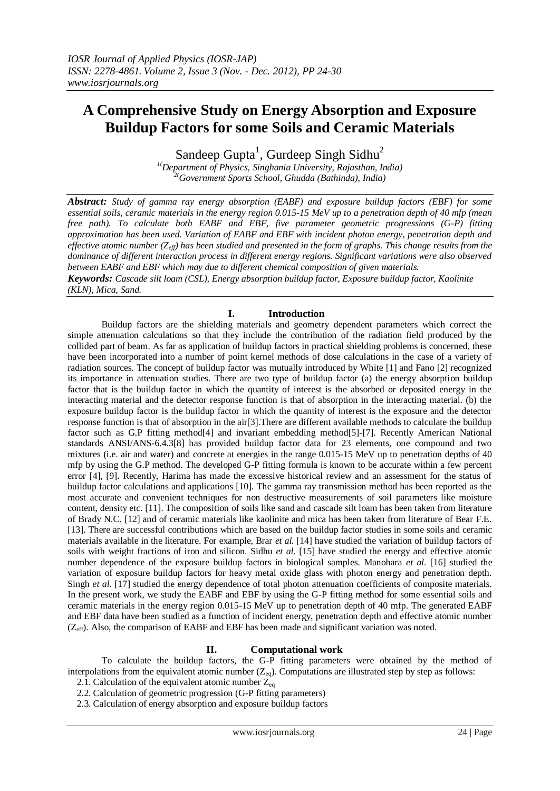# **A Comprehensive Study on Energy Absorption and Exposure Buildup Factors for some Soils and Ceramic Materials**

Sandeep Gupta<sup>1</sup>, Gurdeep Singh Sidhu<sup>2</sup>

*1(Department of Physics, Singhania University, Rajasthan, India) 2(Government Sports School, Ghudda (Bathinda), India)*

*Abstract: Study of gamma ray energy absorption (EABF) and exposure buildup factors (EBF) for some essential soils, ceramic materials in the energy region 0.015-15 MeV up to a penetration depth of 40 mfp (mean free path). To calculate both EABF and EBF, five parameter geometric progressions (G-P) fitting approximation has been used. Variation of EABF and EBF with incident photon energy, penetration depth and effective atomic number (Zeff) has been studied and presented in the form of graphs. This change results from the dominance of different interaction process in different energy regions. Significant variations were also observed between EABF and EBF which may due to different chemical composition of given materials.*

*Keywords: Cascade silt loam (CSL), Energy absorption buildup factor, Exposure buildup factor, Kaolinite (KLN), Mica, Sand.*

### **I. Introduction**

Buildup factors are the shielding materials and geometry dependent parameters which correct the simple attenuation calculations so that they include the contribution of the radiation field produced by the collided part of beam. As far as application of buildup factors in practical shielding problems is concerned, these have been incorporated into a number of point kernel methods of dose calculations in the case of a variety of radiation sources. The concept of buildup factor was mutually introduced by White [1] and Fano [2] recognized its importance in attenuation studies. There are two type of buildup factor (a) the energy absorption buildup factor that is the buildup factor in which the quantity of interest is the absorbed or deposited energy in the interacting material and the detector response function is that of absorption in the interacting material. (b) the exposure buildup factor is the buildup factor in which the quantity of interest is the exposure and the detector response function is that of absorption in the air[3].There are different available methods to calculate the buildup factor such as G.P fitting method[4] and invariant embedding method[5]-[7]. Recently American National standards ANSI/ANS-6.4.3[8] has provided buildup factor data for 23 elements, one compound and two mixtures (i.e. air and water) and concrete at energies in the range 0.015-15 MeV up to penetration depths of 40 mfp by using the G.P method. The developed G-P fitting formula is known to be accurate within a few percent error [4], [9]. Recently, Harima has made the excessive historical review and an assessment for the status of buildup factor calculations and applications [10]. The gamma ray transmission method has been reported as the most accurate and convenient techniques for non destructive measurements of soil parameters like moisture content, density etc. [11]. The composition of soils like sand and cascade silt loam has been taken from literature of Brady N.C. [12] and of ceramic materials like kaolinite and mica has been taken from literature of Bear F.E. [13]. There are successful contributions which are based on the buildup factor studies in some soils and ceramic materials available in the literature. For example, Brar *et al.* [14] have studied the variation of buildup factors of soils with weight fractions of iron and silicon. Sidhu *et al.* [15] have studied the energy and effective atomic number dependence of the exposure buildup factors in biological samples. Manohara *et al.* [16] studied the variation of exposure buildup factors for heavy metal oxide glass with photon energy and penetration depth. Singh *et al.* [17] studied the energy dependence of total photon attenuation coefficients of composite materials. In the present work, we study the EABF and EBF by using the G-P fitting method for some essential soils and ceramic materials in the energy region 0.015-15 MeV up to penetration depth of 40 mfp. The generated EABF and EBF data have been studied as a function of incident energy, penetration depth and effective atomic number  $(Z_{\text{eff}})$ . Also, the comparison of EABF and EBF has been made and significant variation was noted.

### **II. Computational work**

To calculate the buildup factors, the G-P fitting parameters were obtained by the method of interpolations from the equivalent atomic number  $(Z_{eq})$ . Computations are illustrated step by step as follows:

2.1. Calculation of the equivalent atomic number  $Z_{eq}$ 2.2. Calculation of geometric progression (G-P fitting parameters)

2.3. Calculation of energy absorption and exposure buildup factors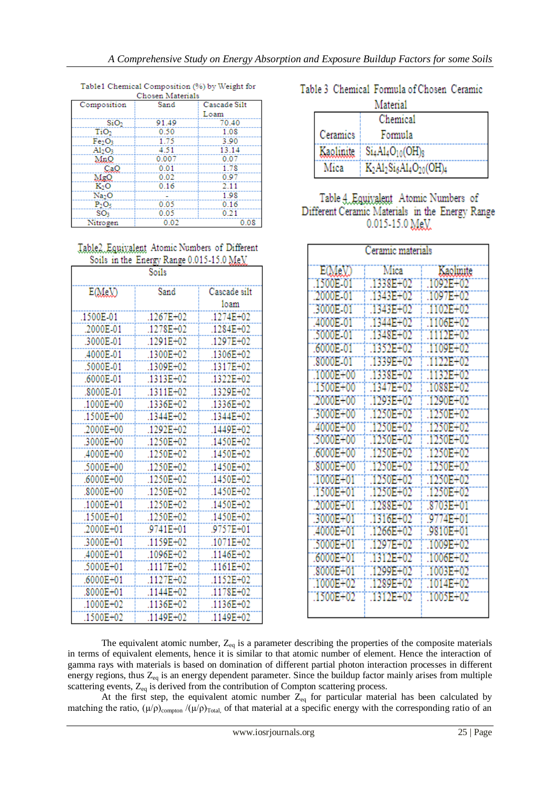| Composition                    | Sand  | Cascade Silt |
|--------------------------------|-------|--------------|
|                                |       | Loam         |
| SiO <sub>2</sub>               | 91.49 | 70.40        |
| TiO <sub>2</sub>               | 0.50  | 1.08         |
| Fe <sub>2</sub> O <sub>3</sub> | 1.75  | 3.90         |
| Al <sub>2</sub> O <sub>3</sub> | 4.51  | 13.14        |
| MnO                            | 0.007 | 0.07         |
| CaO                            | 0.01  | 1.78         |
| MgΩ.                           | 0.02  | 0.97         |
| K <sub>2</sub> O               | 0.16  | 2.11         |
| Na <sub>2</sub> O              |       | 1.98         |
| $P_2O_5$                       | 0.05  | 0.16         |
| SO <sub>3</sub>                | 0.05  | 0.21         |
| Nitrogen                       | 0.02  | 0.08         |

Table1 Chemical Composition (%) by Weight for

### Table2 Equivalent Atomic Numbers of Different Soils in the Energy Range 0.015-15.0 MeV

| Soils     |           |                      |
|-----------|-----------|----------------------|
| E(MeX)    | Sand      | Cascade silt<br>loam |
| .1500E-01 | .1267E+02 | .1274E+02            |
| .2000E-01 | .1278E+02 | .1284E+02            |
| .3000E-01 | .1291E+02 | .1297E+02            |
| .4000E-01 | .1300E+02 | .1306E+02            |
| .5000E-01 | .1309E+02 | .1317E+02            |
| .6000E-01 | .1313E+02 | .1322E+02            |
| .8000E-01 | .1311E+02 | .1329E+02            |
| .1000E+00 | .1336E+02 | .1336E+02            |
| .1500E+00 | .1344E+02 | .1344E+02            |
| .2000E+00 | .1292E+02 | .1449E+02            |
| .3000E+00 | .1250E+02 | .1450E+02            |
| .4000E+00 | .1250E+02 | .1450E+02            |
| .5000E+00 | .1250E+02 | .1450E+02            |
| .6000E+00 | .1250E+02 | .1450E+02            |
| .8000E+00 | .1250E+02 | .1450E+02            |
| .1000E+01 | .1250E+02 | .1450E+02            |
| .1500E+01 | .1250E+02 | .1450E+02            |
| .2000E+01 | .9741E+01 | .9757E+01            |
| .3000E+01 | .1159E+02 | .1071E+02            |
| .4000E+01 | .1096E+02 | .1146E+02            |
| .5000E+01 | .1117E+02 | .1161E+02            |
| .6000E+01 | .1127E+02 | .1152E+02            |
| .8000E+01 | .1144E+02 | .1178E+02            |
| .1000E+02 | .1136E+02 | .1136E+02            |
| .1500E+02 | .1149E+02 | .1149E+02            |

### Table 3 Chemical Formula of Chosen Ceramic Material

| шанспан   |                               |  |  |
|-----------|-------------------------------|--|--|
|           | Chemical                      |  |  |
| Ceramics  | Formula                       |  |  |
| Kaolinite | $Si4Al4O10(OH)8$              |  |  |
| Mica      | $K_2Al_2Si_6Al_4O_{20}(OH)_4$ |  |  |

## Table 4. Equivalent Atomic Numbers of Different Ceramic Materials in the Energy Range 0.015-15.0 MeV

| Ceramic materials |             |           |  |  |
|-------------------|-------------|-----------|--|--|
| E(MeV)            | Mica        | Kaolinite |  |  |
| .1500E-01         | $-1338E+02$ | 1092E+02  |  |  |
| .2000E 01         | "1343E+02   | .1097E+02 |  |  |
| 3000E 01          | 1343E+02    | :1102E+02 |  |  |
| 4000E-01          | 1344E+02    | 1106E+02  |  |  |
| .5000E 01         | 1348E+02    | .TIT2E+02 |  |  |
| .6000E-01         | .1352E+02   | :1109E+02 |  |  |
| .8000E-01         | 1339E+02    | T122E+02  |  |  |
| .1000E+00         | 1338E+02    | 1132E+02  |  |  |
| .1500E+00         | :1347E+02   | :1088E+02 |  |  |
| .2000E+00         | 1293E+02    | 1290E+02  |  |  |
| 3000E+00          | .1250E+02   | 1250E+02  |  |  |
| 4000E+00          | 1250E+02    | 1250E+02  |  |  |
| .5000E+00         | .1250E+02   | 1250E+02  |  |  |
| .6000E+00         | 1250E+02    | .1250E+02 |  |  |
| .8000E+00         | .1250E+02   | 1250E+02  |  |  |
| 1000E+01          | 1250E+02    | 1250E+02  |  |  |
| .1500E+01         | 1250E+02    | 1250E+02  |  |  |
| .2000E+01         | 1288E+02    | .8703E+01 |  |  |
| :3000E+01         | 1316E+02    | 3774E+01  |  |  |
| :4000E+01         | .1266E+02   | .9810E+01 |  |  |
| .5000E+01         | 1297E+02    | 1009E+02  |  |  |
| .6000E+01         | 1312E+02    | 1006E+02  |  |  |
| 8000E+01          | 1299E+02    | :1003E+02 |  |  |
| :1000E+02         | 1289E+02    | 1014E+02  |  |  |
| 1500E+02          | 1312E+02    | 1005E+02  |  |  |
|                   |             |           |  |  |

The equivalent atomic number,  $Z_{eq}$  is a parameter describing the properties of the composite materials in terms of equivalent elements, hence it is similar to that atomic number of element. Hence the interaction of gamma rays with materials is based on domination of different partial photon interaction processes in different energy regions, thus  $Z_{eq}$  is an energy dependent parameter. Since the buildup factor mainly arises from multiple scattering events,  $Z_{eq}$  is derived from the contribution of Compton scattering process.

At the first step, the equivalent atomic number  $Z_{eq}$  for particular material has been calculated by matching the ratio,  $(\mu/\rho)_{\text{compton}}/(\mu/\rho)_{\text{Total}}$ , of that material at a specific energy with the corresponding ratio of an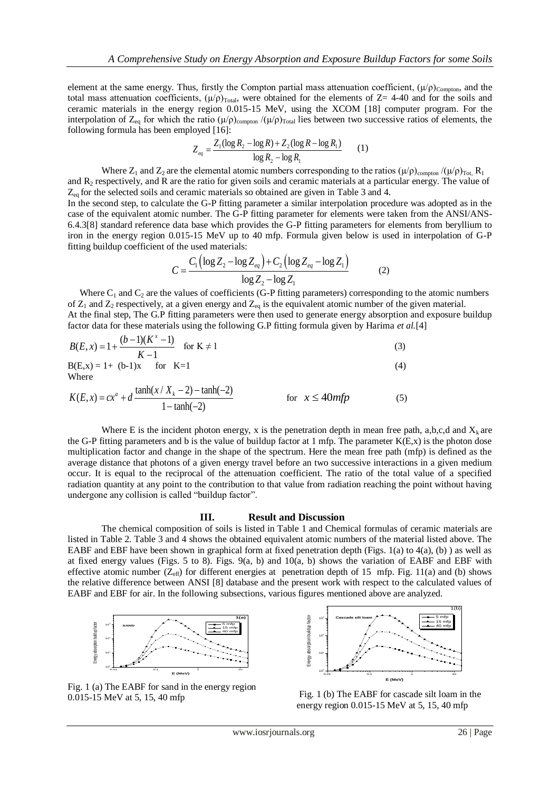element at the same energy. Thus, firstly the Compton partial mass attenuation coefficient,  $(\mu/\rho)_{\text{Compton}}$ , and the total mass attenuation coefficients,  $(\mu/\rho)_{\text{Total}}$ , were obtained for the elements of Z= 4-40 and for the soils and ceramic materials in the energy region 0.015-15 MeV, using the XCOM [18] computer program. For the interpolation of  $Z_{eq}$  for which the ratio  $(\mu/\rho)_{\text{compton}}/(\mu/\rho)_{\text{Total}}$  lies between two successive ratios of elements, the following formula has been employed [16]:

$$
Z_{eq} = \frac{Z_1(\log R_2 - \log R) + Z_2(\log R - \log R_1)}{\log R_2 - \log R_1}
$$
 (1)

Where  $Z_1$  and  $Z_2$  are the elemental atomic numbers corresponding to the ratios  $(\mu/\rho)_{\text{compton}}/(\mu/\rho)_{\text{Tot}}$ , R<sub>1</sub> and R<sup>2</sup> respectively, and R are the ratio for given soils and ceramic materials at a particular energy. The value of  $Z_{eq}$  for the selected soils and ceramic materials so obtained are given in Table 3 and 4.

In the second step, to calculate the G-P fitting parameter a similar interpolation procedure was adopted as in the case of the equivalent atomic number. The G-P fitting parameter for elements were taken from the ANSI/ANS-6.4.3[8] standard reference data base which provides the G-P fitting parameters for elements from beryllium to iron in the energy region 0.015-15 MeV up to 40 mfp. Formula given below is used in interpolation of G-P

fitting building coefficient of the used materials:  
\n
$$
C = \frac{C_1 (\log Z_2 - \log Z_{eq}) + C_2 (\log Z_{eq} - \log Z_1)}{\log Z_2 - \log Z_1}
$$
\n(2)

Where  $C_1$  and  $C_2$  are the values of coefficients (G-P fitting parameters) corresponding to the atomic numbers of  $Z_1$  and  $Z_2$  respectively, at a given energy and  $Z_{eq}$  is the equivalent atomic number of the given material. At the final step, The G.P fitting parameters were then used to generate energy absorption and exposure buildup factor data for these materials using the following G.P fitting formula given by Harima *et al.*[4]

$$
B(E, x) = 1 + \frac{(b-1)(K^x - 1)}{K - 1} \quad \text{for } K \neq 1
$$
 (3)

$$
B(E,x) = 1 + (b-1)x
$$
 for K=1 (4)  
Where

Where  
\n
$$
K(E, x) = cx^{a} + d \frac{\tanh(x / X_{k} - 2) - \tanh(-2)}{1 - \tanh(-2)}
$$
 for  $x \le 40mfp$  (5)

Where E is the incident photon energy, x is the penetration depth in mean free path, a,b,c,d and  $X_k$  are the G-P fitting parameters and b is the value of buildup factor at 1 mfp. The parameter  $K(E, x)$  is the photon dose multiplication factor and change in the shape of the spectrum. Here the mean free path (mfp) is defined as the average distance that photons of a given energy travel before an two successive interactions in a given medium occur. It is equal to the reciprocal of the attenuation coefficient. The ratio of the total value of a specified radiation quantity at any point to the contribution to that value from radiation reaching the point without having undergone any collision is called "buildup factor".

#### **III. Result and Discussion**

The chemical composition of soils is listed in Table 1 and Chemical formulas of ceramic materials are listed in Table 2. Table 3 and 4 shows the obtained equivalent atomic numbers of the material listed above. The EABF and EBF have been shown in graphical form at fixed penetration depth (Figs. 1(a) to 4(a), (b) ) as well as at fixed energy values (Figs. 5 to 8). Figs. 9(a, b) and  $10(a, b)$  shows the variation of EABF and EBF with effective atomic number ( $Z_{\text{eff}}$ ) for different energies at penetration depth of 15 mfp. Fig. 11(a) and (b) shows the relative difference between ANSI [8] database and the present work with respect to the calculated values of EABF and EBF for air. In the following subsections, various figures mentioned above are analyzed.



Fig. 1 (a) The EABF for sand in the energy region 0.015-15 MeV at 5, 15, 40 mfp



Fig. 1 (b) The EABF for cascade silt loam in the energy region 0.015-15 MeV at 5, 15, 40 mfp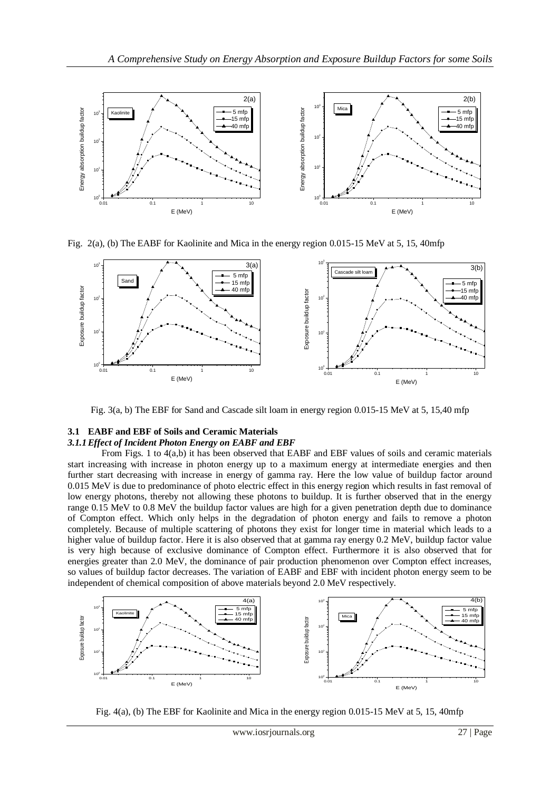

Fig. 2(a), (b) The EABF for Kaolinite and Mica in the energy region 0.015-15 MeV at 5, 15, 40mfp



Fig. 3(a, b) The EBF for Sand and Cascade silt loam in energy region 0.015-15 MeV at 5, 15,40 mfp

### **3.1 EABF and EBF of Soils and Ceramic Materials**

### *3.1.1Effect of Incident Photon Energy on EABF and EBF*

From Figs. 1 to  $4(a,b)$  it has been observed that EABF and EBF values of soils and ceramic materials start increasing with increase in photon energy up to a maximum energy at intermediate energies and then further start decreasing with increase in energy of gamma ray. Here the low value of buildup factor around 0.015 MeV is due to predominance of photo electric effect in this energy region which results in fast removal of low energy photons, thereby not allowing these photons to buildup. It is further observed that in the energy range 0.15 MeV to 0.8 MeV the buildup factor values are high for a given penetration depth due to dominance of Compton effect. Which only helps in the degradation of photon energy and fails to remove a photon completely. Because of multiple scattering of photons they exist for longer time in material which leads to a higher value of buildup factor. Here it is also observed that at gamma ray energy 0.2 MeV, buildup factor value is very high because of exclusive dominance of Compton effect. Furthermore it is also observed that for energies greater than 2.0 MeV, the dominance of pair production phenomenon over Compton effect increases, so values of buildup factor decreases. The variation of EABF and EBF with incident photon energy seem to be independent of chemical composition of above materials beyond 2.0 MeV respectively.



Fig. 4(a), (b) The EBF for Kaolinite and Mica in the energy region 0.015-15 MeV at 5, 15, 40mfp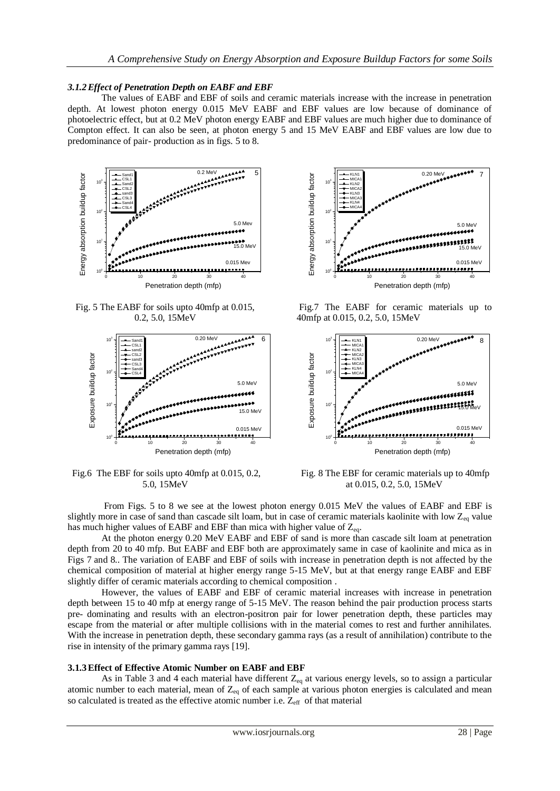### *3.1.2Effect of Penetration Depth on EABF and EBF*

The values of EABF and EBF of soils and ceramic materials increase with the increase in penetration depth. At lowest photon energy 0.015 MeV EABF and EBF values are low because of dominance of photoelectric effect, but at 0.2 MeV photon energy EABF and EBF values are much higher due to dominance of Compton effect. It can also be seen, at photon energy 5 and 15 MeV EABF and EBF values are low due to predominance of pair- production as in figs. 5 to 8.



Fig. 5 The EABF for soils upto 40mfp at 0.015, 0.2, 5.0, 15MeV



Fig.6 The EBF for soils upto 40mfp at 0.015, 0.2, 5.0, 15MeV



Fig.7 The EABF for ceramic materials up to 40mfp at 0.015, 0.2, 5.0, 15MeV



Fig. 8 The EBF for ceramic materials up to 40mfp at 0.015, 0.2, 5.0, 15MeV

From Figs. 5 to 8 we see at the lowest photon energy 0.015 MeV the values of EABF and EBF is slightly more in case of sand than cascade silt loam, but in case of ceramic materials kaolinite with low  $Z_{eq}$  value has much higher values of EABF and EBF than mica with higher value of  $Z_{eq}$ .

 At the photon energy 0.20 MeV EABF and EBF of sand is more than cascade silt loam at penetration depth from 20 to 40 mfp. But EABF and EBF both are approximately same in case of kaolinite and mica as in Figs 7 and 8.. The variation of EABF and EBF of soils with increase in penetration depth is not affected by the chemical composition of material at higher energy range 5-15 MeV, but at that energy range EABF and EBF slightly differ of ceramic materials according to chemical composition .

 However, the values of EABF and EBF of ceramic material increases with increase in penetration depth between 15 to 40 mfp at energy range of 5-15 MeV. The reason behind the pair production process starts pre- dominating and results with an electron-positron pair for lower penetration depth, these particles may escape from the material or after multiple collisions with in the material comes to rest and further annihilates. With the increase in penetration depth, these secondary gamma rays (as a result of annihilation) contribute to the rise in intensity of the primary gamma rays [19].

#### **3.1.3Effect of Effective Atomic Number on EABF and EBF**

As in Table 3 and 4 each material have different  $Z_{eq}$  at various energy levels, so to assign a particular atomic number to each material, mean of  $Z_{eq}$  of each sample at various photon energies is calculated and mean so calculated is treated as the effective atomic number i.e.  $Z_{\text{eff}}$  of that material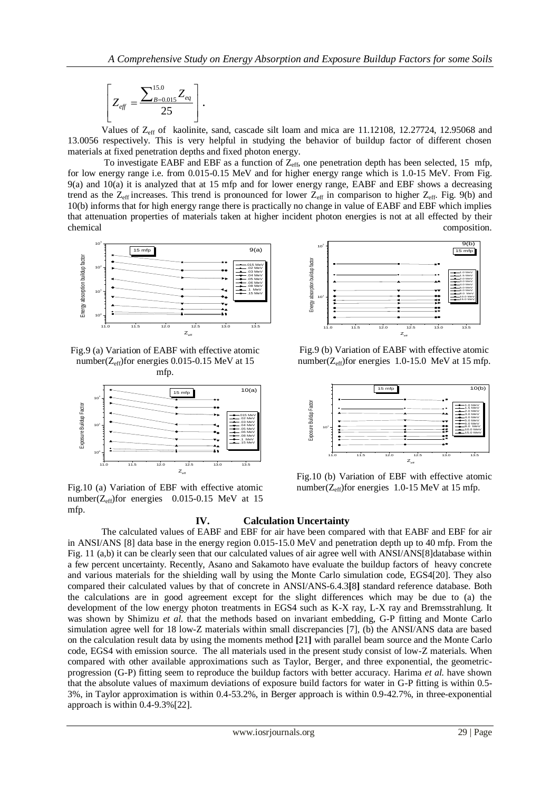$$
\left[Z_{\text{eff}} = \frac{\sum_{B=0.015}^{15.0} Z_{\text{eq}}}{25}\right].
$$

Values of  $Z_{\text{eff}}$  of kaolinite, sand, cascade silt loam and mica are 11.12108, 12.27724, 12.95068 and 13.0056 respectively. This is very helpful in studying the behavior of buildup factor of different chosen materials at fixed penetration depths and fixed photon energy.

To investigate EABF and EBF as a function of  $Z_{\text{eff}}$ , one penetration depth has been selected, 15 mfp, for low energy range i.e. from 0.015-0.15 MeV and for higher energy range which is 1.0-15 MeV. From Fig. 9(a) and 10(a) it is analyzed that at 15 mfp and for lower energy range, EABF and EBF shows a decreasing trend as the  $Z_{eff}$  increases. This trend is pronounced for lower  $Z_{eff}$  in comparison to higher  $Z_{eff}$ . Fig. 9(b) and 10(b) informs that for high energy range there is practically no change in value of EABF and EBF which implies that attenuation properties of materials taken at higher incident photon energies is not at all effected by their chemical composition.



Fig.9 (a) Variation of EABF with effective atomic number( $Z_{eff}$ )for energies 0.015-0.15 MeV at 15 mfp.



Fig.10 (a) Variation of EBF with effective atomic number( $Z_{eff}$ )for energies 0.015-0.15 MeV at 15 mfp.



Fig.9 (b) Variation of EABF with effective atomic number( $Z_{\text{eff}}$ )for energies 1.0-15.0 MeV at 15 mfp.



Fig.10 (b) Variation of EBF with effective atomic number( $Z_{\text{eff}}$ )for energies 1.0-15 MeV at 15 mfp.

#### **IV. Calculation Uncertainty**

We can be the set of the set of the set of the set of the set of the set of the set of the set of the set of the set of the set of the set of the set of the set of the set of the set of the set of the set of the set of t The calculated values of EABF and EBF for air have been compared with that EABF and EBF for air in ANSI/ANS [8] data base in the energy region 0.015-15.0 MeV and penetration depth up to 40 mfp. From the Fig. 11 (a,b) it can be clearly seen that our calculated values of air agree well with ANSI/ANS[8]database within a few percent uncertainty. Recently, Asano and Sakamoto have evaluate the buildup factors of heavy concrete and various materials for the shielding wall by using the Monte Carlo simulation code, EGS4[20]. They also compared their calculated values by that of concrete in ANSI/ANS-6.4.3**[**8**]** standard reference database. Both the calculations are in good agreement except for the slight differences which may be due to (a) the development of the low energy photon treatments in EGS4 such as K-X ray, L-X ray and Bremsstrahlung. It was shown by Shimizu *et al.* that the methods based on invariant embedding, G-P fitting and Monte Carlo simulation agree well for 18 low-Z materials within small discrepancies [7], (b) the ANSI/ANS data are based on the calculation result data by using the moments method **[**21**]** with parallel beam source and the Monte Carlo code, EGS4 with emission source. The all materials used in the present study consist of low-Z materials. When compared with other available approximations such as Taylor, Berger, and three exponential, the geometricprogression (G-P) fitting seem to reproduce the buildup factors with better accuracy. Harima *et al.* have shown that the absolute values of maximum deviations of exposure build factors for water in G-P fitting is within 0.5- 3%, in Taylor approximation is within 0.4-53.2%, in Berger approach is within 0.9-42.7%, in three-exponential approach is within 0.4-9.3%[22].